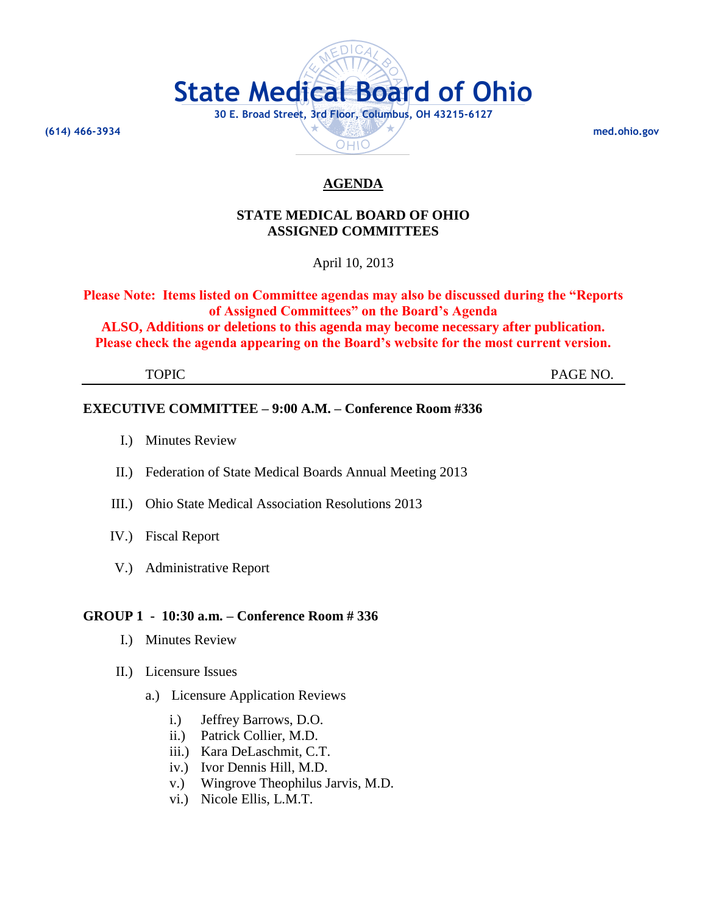

## **STATE MEDICAL BOARD OF OHIO ASSIGNED COMMITTEES**

April 10, 2013

**Please Note: Items listed on Committee agendas may also be discussed during the "Reports of Assigned Committees" on the Board's Agenda**

**ALSO, Additions or deletions to this agenda may become necessary after publication. Please check the agenda appearing on the Board's website for the most current version.**

TOPIC PAGE NO.

## **EXECUTIVE COMMITTEE – 9:00 A.M. – Conference Room #336**

- I.) Minutes Review
- II.) Federation of State Medical Boards Annual Meeting 2013
- III.) Ohio State Medical Association Resolutions 2013
- IV.) Fiscal Report
- V.) Administrative Report

## **GROUP 1 - 10:30 a.m. – Conference Room # 336**

- I.) Minutes Review
- II.) Licensure Issues
	- a.) Licensure Application Reviews
		- i.) Jeffrey Barrows, D.O.
		- ii.) Patrick Collier, M.D.
		- iii.) Kara DeLaschmit, C.T.
		- iv.) Ivor Dennis Hill, M.D.
		- v.) Wingrove Theophilus Jarvis, M.D.
		- vi.) Nicole Ellis, L.M.T.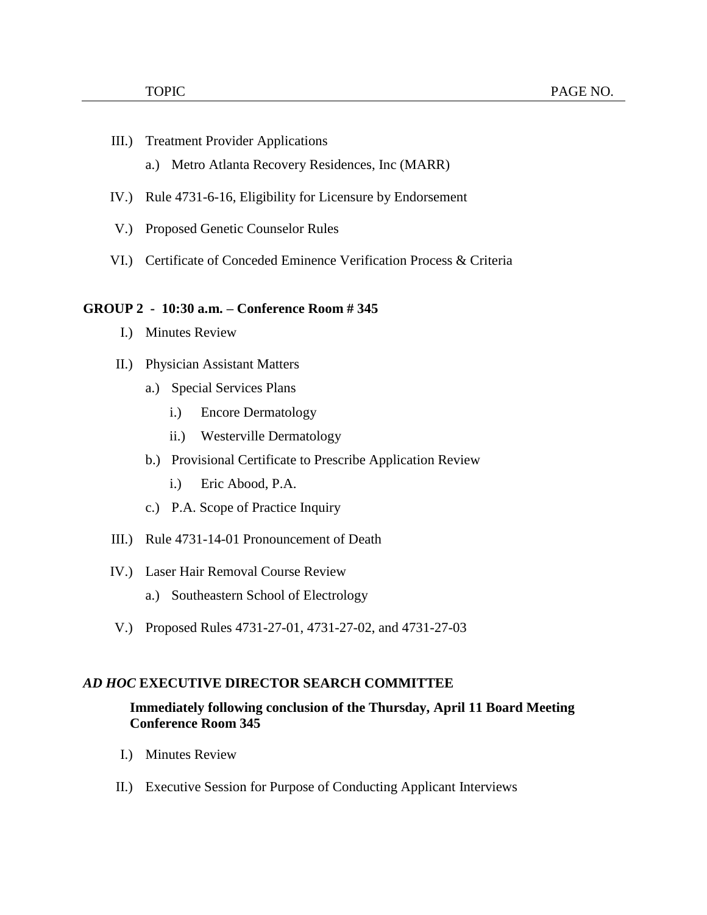- III.) Treatment Provider Applications
	- a.) Metro Atlanta Recovery Residences, Inc (MARR)
- IV.) Rule 4731-6-16, Eligibility for Licensure by Endorsement
- V.) Proposed Genetic Counselor Rules
- VI.) Certificate of Conceded Eminence Verification Process & Criteria

#### **GROUP 2 - 10:30 a.m. – Conference Room # 345**

- I.) Minutes Review
- II.) Physician Assistant Matters
	- a.) Special Services Plans
		- i.) Encore Dermatology
		- ii.) Westerville Dermatology
	- b.) Provisional Certificate to Prescribe Application Review
		- i.) Eric Abood, P.A.
	- c.) P.A. Scope of Practice Inquiry
- III.) Rule 4731-14-01 Pronouncement of Death
- IV.) Laser Hair Removal Course Review
	- a.) Southeastern School of Electrology
- V.) Proposed Rules 4731-27-01, 4731-27-02, and 4731-27-03

#### *AD HOC* **EXECUTIVE DIRECTOR SEARCH COMMITTEE**

## **Immediately following conclusion of the Thursday, April 11 Board Meeting Conference Room 345**

- I.) Minutes Review
- II.) Executive Session for Purpose of Conducting Applicant Interviews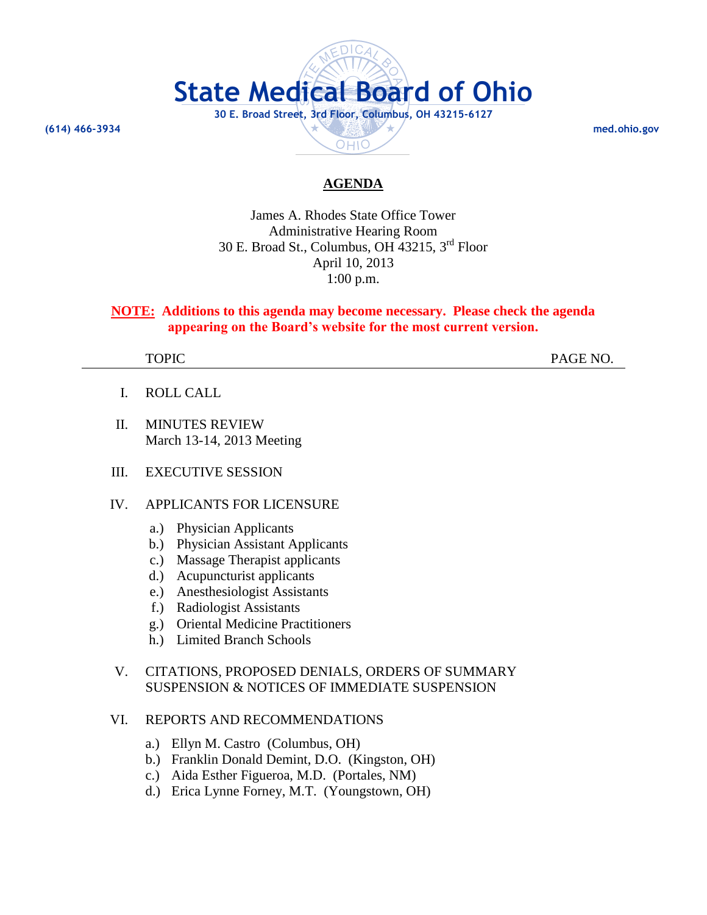

James A. Rhodes State Office Tower Administrative Hearing Room 30 E. Broad St., Columbus, OH 43215, 3 rd Floor April 10, 2013 1:00 p.m.

## **NOTE: Additions to this agenda may become necessary. Please check the agenda appearing on the Board's website for the most current version.**

TOPIC PAGE NO.

- I. ROLL CALL
- II. MINUTES REVIEW March 13-14, 2013 Meeting
- III. EXECUTIVE SESSION

#### IV. APPLICANTS FOR LICENSURE

- a.) Physician Applicants
- b.) Physician Assistant Applicants
- c.) Massage Therapist applicants
- d.) Acupuncturist applicants
- e.) Anesthesiologist Assistants
- f.) Radiologist Assistants
- g.) Oriental Medicine Practitioners
- h.) Limited Branch Schools

## V. CITATIONS, PROPOSED DENIALS, ORDERS OF SUMMARY SUSPENSION & NOTICES OF IMMEDIATE SUSPENSION

## VI. REPORTS AND RECOMMENDATIONS

- a.) Ellyn M. Castro (Columbus, OH)
- b.) Franklin Donald Demint, D.O. (Kingston, OH)
- c.) Aida Esther Figueroa, M.D. (Portales, NM)
- d.) Erica Lynne Forney, M.T. (Youngstown, OH)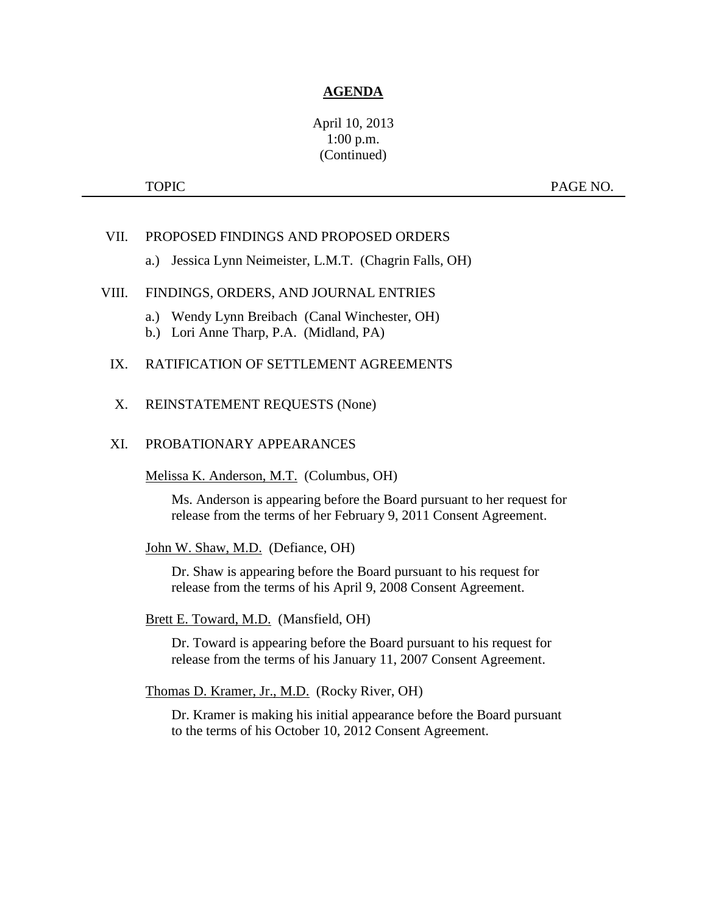## April 10, 2013 1:00 p.m. (Continued)

TOPIC PAGE NO.

## VII. PROPOSED FINDINGS AND PROPOSED ORDERS

a.) Jessica Lynn Neimeister, L.M.T. (Chagrin Falls, OH)

## VIII. FINDINGS, ORDERS, AND JOURNAL ENTRIES

- a.) Wendy Lynn Breibach (Canal Winchester, OH)
- b.) Lori Anne Tharp, P.A. (Midland, PA)

## IX. RATIFICATION OF SETTLEMENT AGREEMENTS

#### X. REINSTATEMENT REQUESTS (None)

#### XI. PROBATIONARY APPEARANCES

Melissa K. Anderson, M.T. (Columbus, OH)

Ms. Anderson is appearing before the Board pursuant to her request for release from the terms of her February 9, 2011 Consent Agreement.

John W. Shaw, M.D. (Defiance, OH)

Dr. Shaw is appearing before the Board pursuant to his request for release from the terms of his April 9, 2008 Consent Agreement.

#### Brett E. Toward, M.D. (Mansfield, OH)

Dr. Toward is appearing before the Board pursuant to his request for release from the terms of his January 11, 2007 Consent Agreement.

Thomas D. Kramer, Jr., M.D. (Rocky River, OH)

Dr. Kramer is making his initial appearance before the Board pursuant to the terms of his October 10, 2012 Consent Agreement.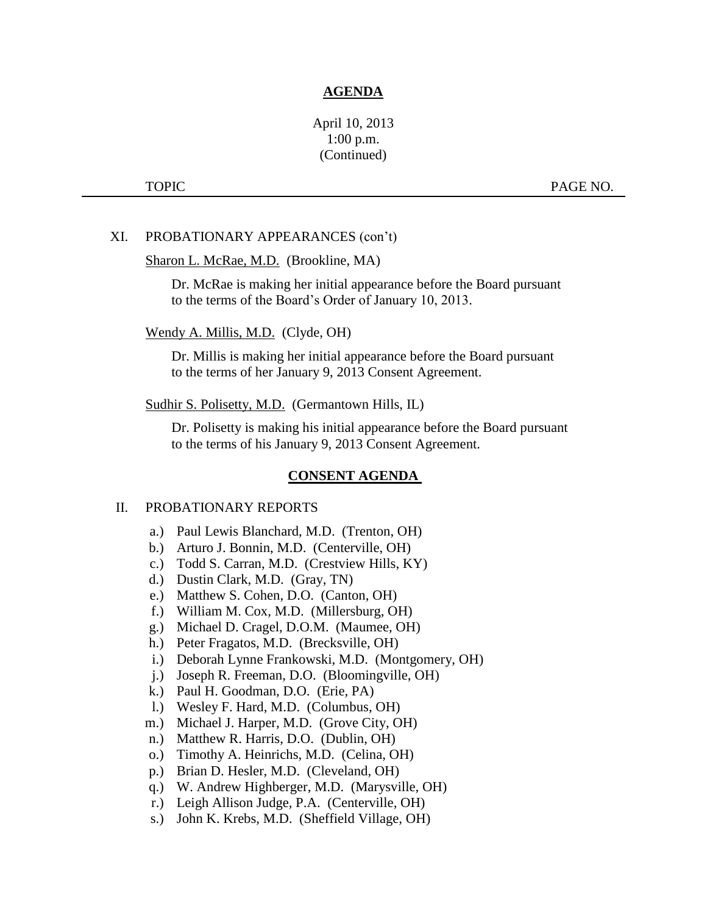## April 10, 2013 1:00 p.m. (Continued)

TOPIC PAGE NO.

#### XI. PROBATIONARY APPEARANCES (con't)

#### Sharon L. McRae, M.D. (Brookline, MA)

Dr. McRae is making her initial appearance before the Board pursuant to the terms of the Board's Order of January 10, 2013.

#### Wendy A. Millis, M.D. (Clyde, OH)

Dr. Millis is making her initial appearance before the Board pursuant to the terms of her January 9, 2013 Consent Agreement.

Sudhir S. Polisetty, M.D. (Germantown Hills, IL)

Dr. Polisetty is making his initial appearance before the Board pursuant to the terms of his January 9, 2013 Consent Agreement.

## **CONSENT AGENDA**

#### II. PROBATIONARY REPORTS

- a.) Paul Lewis Blanchard, M.D. (Trenton, OH)
- b.) Arturo J. Bonnin, M.D. (Centerville, OH)
- c.) Todd S. Carran, M.D. (Crestview Hills, KY)
- d.) Dustin Clark, M.D. (Gray, TN)
- e.) Matthew S. Cohen, D.O. (Canton, OH)
- f.) William M. Cox, M.D. (Millersburg, OH)
- g.) Michael D. Cragel, D.O.M. (Maumee, OH)
- h.) Peter Fragatos, M.D. (Brecksville, OH)
- i.) Deborah Lynne Frankowski, M.D. (Montgomery, OH)
- j.) Joseph R. Freeman, D.O. (Bloomingville, OH)
- k.) Paul H. Goodman, D.O. (Erie, PA)
- l.) Wesley F. Hard, M.D. (Columbus, OH)
- m.) Michael J. Harper, M.D. (Grove City, OH)
- n.) Matthew R. Harris, D.O. (Dublin, OH)
- o.) Timothy A. Heinrichs, M.D. (Celina, OH)
- p.) Brian D. Hesler, M.D. (Cleveland, OH)
- q.) W. Andrew Highberger, M.D. (Marysville, OH)
- r.) Leigh Allison Judge, P.A. (Centerville, OH)
- s.) John K. Krebs, M.D. (Sheffield Village, OH)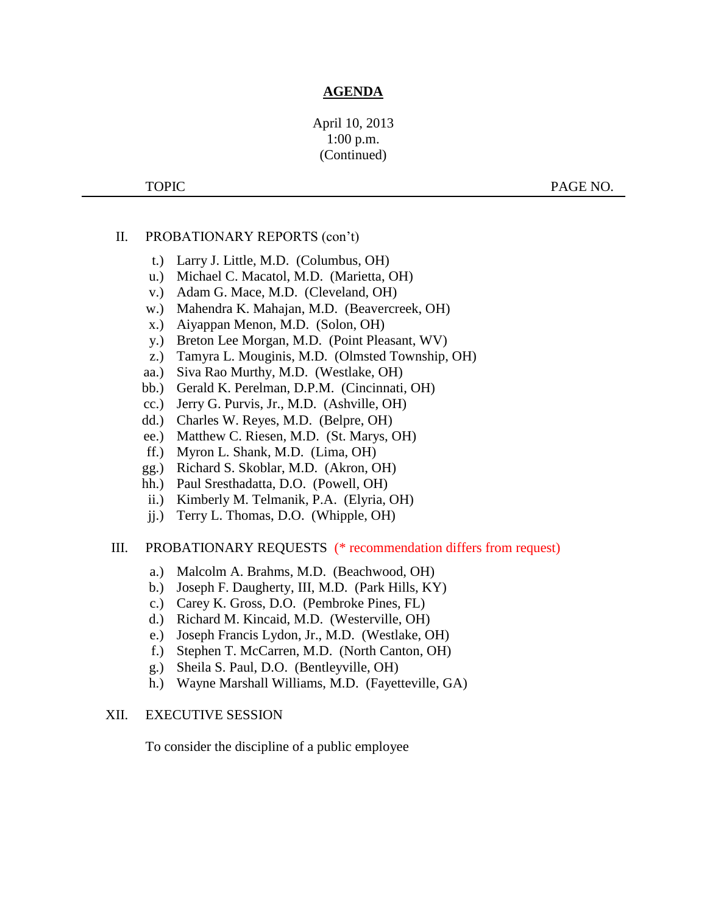## April 10, 2013 1:00 p.m. (Continued)

TOPIC PAGE NO.

## II. PROBATIONARY REPORTS (con't)

- t.) Larry J. Little, M.D. (Columbus, OH)
- u.) Michael C. Macatol, M.D. (Marietta, OH)
- v.) Adam G. Mace, M.D. (Cleveland, OH)
- w.) Mahendra K. Mahajan, M.D. (Beavercreek, OH)
- x.) Aiyappan Menon, M.D. (Solon, OH)
- y.) Breton Lee Morgan, M.D. (Point Pleasant, WV)
- z.) Tamyra L. Mouginis, M.D. (Olmsted Township, OH)
- aa.) Siva Rao Murthy, M.D. (Westlake, OH)
- bb.) Gerald K. Perelman, D.P.M. (Cincinnati, OH)
- cc.) Jerry G. Purvis, Jr., M.D. (Ashville, OH)
- dd.) Charles W. Reyes, M.D. (Belpre, OH)
- ee.) Matthew C. Riesen, M.D. (St. Marys, OH)
- ff.) Myron L. Shank, M.D. (Lima, OH)
- gg.) Richard S. Skoblar, M.D. (Akron, OH)
- hh.) Paul Sresthadatta, D.O. (Powell, OH)
- ii.) Kimberly M. Telmanik, P.A. (Elyria, OH)
- jj.) Terry L. Thomas, D.O. (Whipple, OH)

#### III. PROBATIONARY REQUESTS (\* recommendation differs from request)

- a.) Malcolm A. Brahms, M.D. (Beachwood, OH)
- b.) Joseph F. Daugherty, III, M.D. (Park Hills, KY)
- c.) Carey K. Gross, D.O. (Pembroke Pines, FL)
- d.) Richard M. Kincaid, M.D. (Westerville, OH)
- e.) Joseph Francis Lydon, Jr., M.D. (Westlake, OH)
- f.) Stephen T. McCarren, M.D. (North Canton, OH)
- g.) Sheila S. Paul, D.O. (Bentleyville, OH)
- h.) Wayne Marshall Williams, M.D. (Fayetteville, GA)

#### XII. EXECUTIVE SESSION

To consider the discipline of a public employee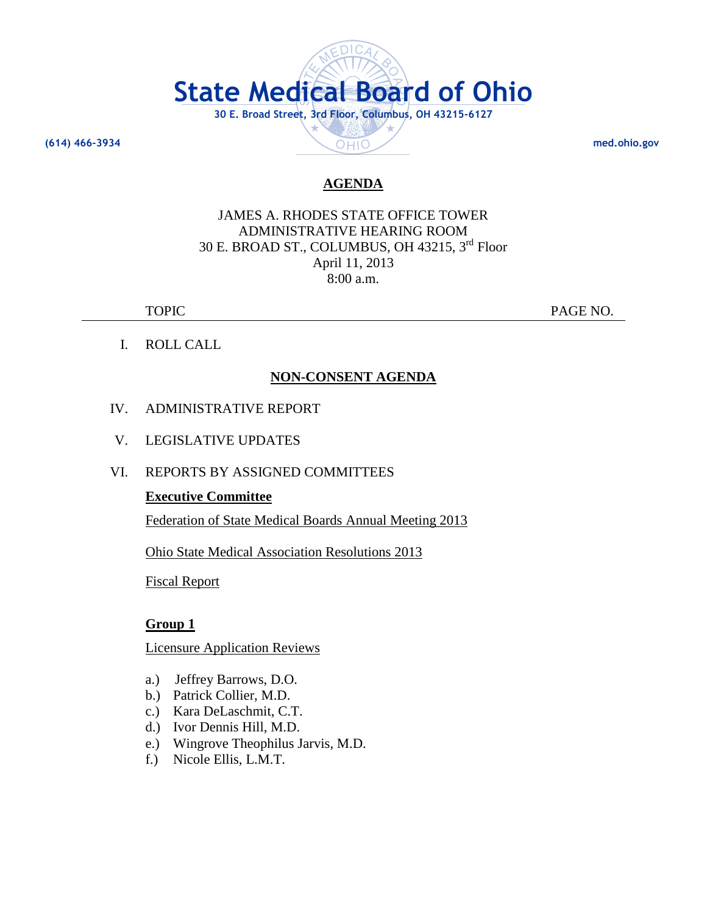

JAMES A. RHODES STATE OFFICE TOWER ADMINISTRATIVE HEARING ROOM 30 E. BROAD ST., COLUMBUS, OH 43215, 3rd Floor April 11, 2013 8:00 a.m.

TOPIC PAGE NO.

I. ROLL CALL

# **NON-CONSENT AGENDA**

- IV. ADMINISTRATIVE REPORT
- V. LEGISLATIVE UPDATES
- VI. REPORTS BY ASSIGNED COMMITTEES

## **Executive Committee**

Federation of State Medical Boards Annual Meeting 2013

Ohio State Medical Association Resolutions 2013

Fiscal Report

## **Group 1**

Licensure Application Reviews

- a.) Jeffrey Barrows, D.O.
- b.) Patrick Collier, M.D.
- c.) Kara DeLaschmit, C.T.
- d.) Ivor Dennis Hill, M.D.
- e.) Wingrove Theophilus Jarvis, M.D.
- f.) Nicole Ellis, L.M.T.